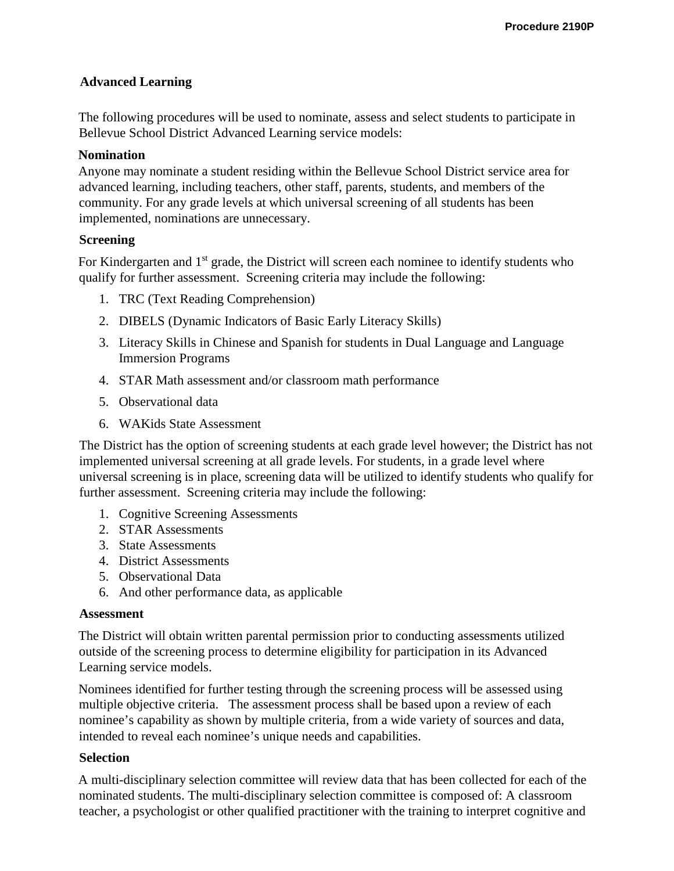# **Advanced Learning**

The following procedures will be used to nominate, assess and select students to participate in Bellevue School District Advanced Learning service models:

## **Nomination**

Anyone may nominate a student residing within the Bellevue School District service area for advanced learning, including teachers, other staff, parents, students, and members of the community. For any grade levels at which universal screening of all students has been implemented, nominations are unnecessary.

### **Screening**

For Kindergarten and 1<sup>st</sup> grade, the District will screen each nominee to identify students who qualify for further assessment. Screening criteria may include the following:

- 1. TRC (Text Reading Comprehension)
- 2. DIBELS (Dynamic Indicators of Basic Early Literacy Skills)
- 3. Literacy Skills in Chinese and Spanish for students in Dual Language and Language Immersion Programs
- 4. STAR Math assessment and/or classroom math performance
- 5. Observational data
- 6. WAKids State Assessment

The District has the option of screening students at each grade level however; the District has not implemented universal screening at all grade levels. For students, in a grade level where universal screening is in place, screening data will be utilized to identify students who qualify for further assessment. Screening criteria may include the following:

- 1. Cognitive Screening Assessments
- 2. STAR Assessments
- 3. State Assessments
- 4. District Assessments
- 5. Observational Data
- 6. And other performance data, as applicable

### **Assessment**

The District will obtain written parental permission prior to conducting assessments utilized outside of the screening process to determine eligibility for participation in its Advanced Learning service models.

Nominees identified for further testing through the screening process will be assessed using multiple objective criteria. The assessment process shall be based upon a review of each nominee's capability as shown by multiple criteria, from a wide variety of sources and data, intended to reveal each nominee's unique needs and capabilities.

### **Selection**

A multi-disciplinary selection committee will review data that has been collected for each of the nominated students. The multi-disciplinary selection committee is composed of: A classroom teacher, a psychologist or other qualified practitioner with the training to interpret cognitive and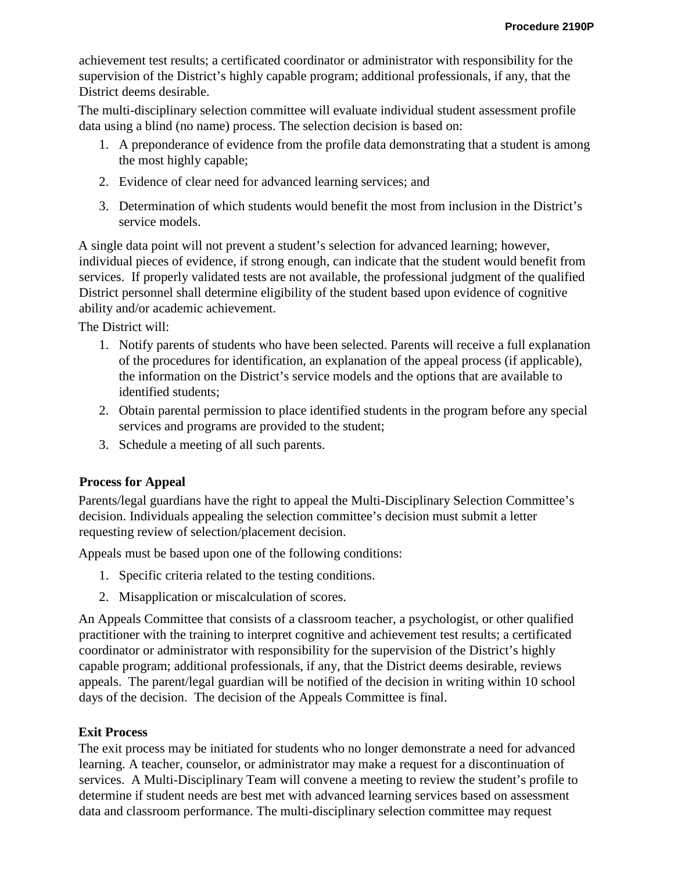achievement test results; a certificated coordinator or administrator with responsibility for the supervision of the District's highly capable program; additional professionals, if any, that the District deems desirable.

The multi-disciplinary selection committee will evaluate individual student assessment profile data using a blind (no name) process. The selection decision is based on:

- 1. A preponderance of evidence from the profile data demonstrating that a student is among the most highly capable;
- 2. Evidence of clear need for advanced learning services; and
- 3. Determination of which students would benefit the most from inclusion in the District's service models.

A single data point will not prevent a student's selection for advanced learning; however, individual pieces of evidence, if strong enough, can indicate that the student would benefit from services. If properly validated tests are not available, the professional judgment of the qualified District personnel shall determine eligibility of the student based upon evidence of cognitive ability and/or academic achievement.

The District will:

- 1. Notify parents of students who have been selected. Parents will receive a full explanation of the procedures for identification, an explanation of the appeal process (if applicable), the information on the District's service models and the options that are available to identified students;
- 2. Obtain parental permission to place identified students in the program before any special services and programs are provided to the student;
- 3. Schedule a meeting of all such parents.

## **Process for Appeal**

Parents/legal guardians have the right to appeal the Multi-Disciplinary Selection Committee's decision. Individuals appealing the selection committee's decision must submit a letter requesting review of selection/placement decision.

Appeals must be based upon one of the following conditions:

- 1. Specific criteria related to the testing conditions.
- 2. Misapplication or miscalculation of scores.

An Appeals Committee that consists of a classroom teacher, a psychologist, or other qualified practitioner with the training to interpret cognitive and achievement test results; a certificated coordinator or administrator with responsibility for the supervision of the District's highly capable program; additional professionals, if any, that the District deems desirable, reviews appeals. The parent/legal guardian will be notified of the decision in writing within 10 school days of the decision. The decision of the Appeals Committee is final.

## **Exit Process**

The exit process may be initiated for students who no longer demonstrate a need for advanced learning. A teacher, counselor, or administrator may make a request for a discontinuation of services. A Multi-Disciplinary Team will convene a meeting to review the student's profile to determine if student needs are best met with advanced learning services based on assessment data and classroom performance. The multi-disciplinary selection committee may request